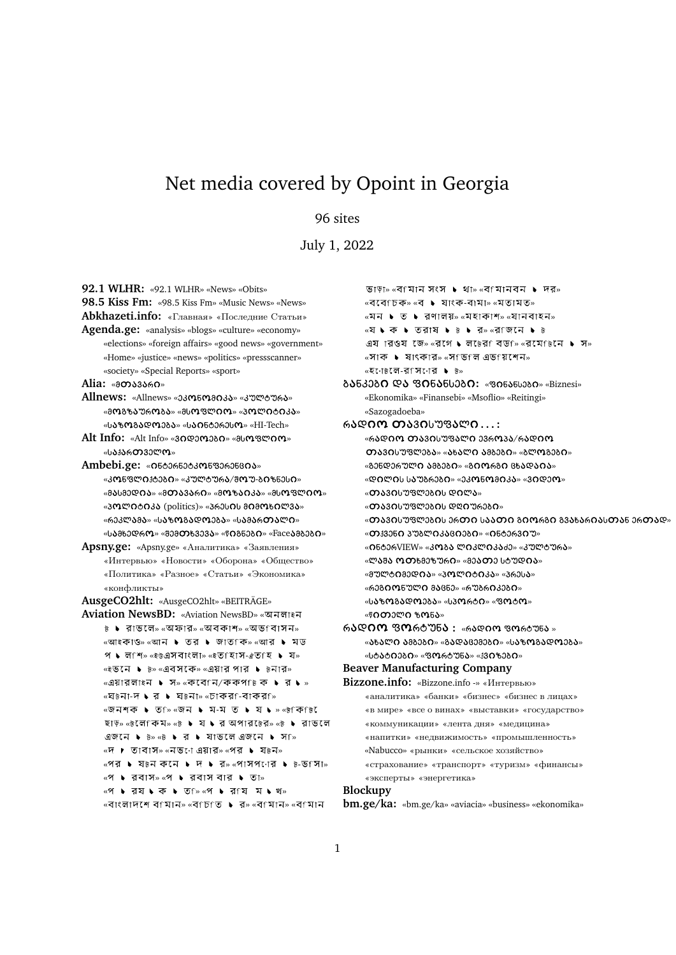# Net media covered by Opoint in Georgia

# 96 sites

July 1, 2022

**92.1 WLHR:** «92.1 WLHR» «News» «Obits» **98.5 Kiss Fm:** «98.5 Kiss Fm» «Music News» «News» **Abkhazeti.info:** «Главная» «Последние Статьи» **Agenda.ge:** «analysis» «blogs» «culture» «economy» «elections» «foreign affairs» «good news» «government» «Home» «justice» «news» «politics» «pressscanner» «society» «Special Reports» «sport» Alia: «ออาง3งคด» Allnews: «Allnews» «ეკონომიკა» «კულტურა» «მოგზაურობა» «მსოფლიო» «პოლიტიკა»  $\omega$  $Alt$  Info: «Alt Info» «30 დეოეგი» «მსოფლიო» «ს**ა**ქართველო» **Ambebi.ge: «ดธออคธออง ตรยอคอธยดง»** «კონფლიქტეგი» «კულტურა/შოუ-გიზნესი» «ᲛᲐᲡᲛᲔᲓᲘᲐ» «ᲛᲗᲐᲕᲐᲠᲘ» «ᲛᲝᲖᲐᲘᲙᲐ» «ᲛᲡᲝᲤᲚᲘᲝ» «პოლიტიკა (politics)» «პრესის მიმოხილვა» «ᲠᲔᲙᲚᲐᲛᲐ» «ᲡᲐᲖᲝᲒᲐᲓᲝᲔᲑᲐ» «ᲡᲐᲛᲐᲠᲗᲐᲚᲘ» «სამხედრო» «შემთხვევა» «წიგნები» «Faceამბები» **Apsny.ge:** «Apsny.ge» «Аналитика» «Заявления» «Интервью» «Новости» «Оборона» «Общество» «Политика» «Разное» «Статьи» «Экономика» «конфликты» **AusgeCO2hlt:** «AusgeCO2hlt» «BEITRÄGE» **Aviation NewsBD:** «Aviation NewsBD» «  $\overline{6}$  ▶ রাভলে» «অফার» «অবকাশ» «অভ $\overline{1}$ বাসন» «আইকাও» «আন ▶ তর ▶ জাত কি» «আর ▶ মড  $\mathcal{P}$   $\blacklozenge$  ল'শি» «ইউএসবাংলা» «ইতৰিাস-ঐতৰ্হ  $\blacktriangleright$  য «ইভনে ▶ ৳» «এবসকে» «এয়ার পার ▶ ৳নার» «এয়ারলাইন ▶ স» «কবে নি/ককপ চিক ▶ র ▶ » «ঘটনা-দ ▶ র ▶ ঘটনা» «চাকরf-বাকরf» <sup>«</sup> অনিশক ▶ ত ি «জন ▶ ম-ম ত ▶ য ▶ » «ট কি টি ছাড়» «টলে কিম» «ট ▶ য ▶ র অপার ৳ের» «ট ▶ রাভলে » « » «দ ▶ তাবাস» «নভ•ো এয়ার» «পর ▶ য৳ন»  $\mathbb{R}$ পর ১ য $\mathbb{B}$ ন কনে ১ দ ১ র» «পাসপণের ১  $\mathbb{B}$ -ভ $\mathbb{S}$ সা» «প ▶ রবাস» «প ▶ রবাস বার ▶ তা» «প ▶ রয ▶ ক ▶ ত ি» «প ▶ র য ম ▶ খ» «বাংলাদশে বামান» «বাচাত সে» «বামান» «বামান

ভাড়া» «বামান সংস ▶ থা» «বামানবন ▶ দর»  $\mathbb{R}$  <  $\mathbb{R}$   $\mathbb{R}$   $\mathbb{R}$   $\mathbb{R}$   $\mathbb{R}$   $\mathbb{R}$   $\mathbb{R}$   $\mathbb{R}$   $\mathbb{R}$   $\mathbb{R}$   $\mathbb{R}$   $\mathbb{R}$   $\mathbb{R}$   $\mathbb{R}$   $\mathbb{R}$   $\mathbb{R}$   $\mathbb{R}$   $\mathbb{R}$   $\mathbb{R}$   $\mathbb{R}$   $\mathbb{R}$   $\mathbb{R}$   $\mathbb{R}$  «মন ▶ ত ▶ রণালয়» «মহাকাশ» «যানবাহন» «যে ► কে ► তরাষ ► ৳ ► র» «র জনে ► ৳ এয ারওয জে» «রগে ► লচেরে বডচি «রমেচেনে ► স» «সাক ▶ ষাংকার» «সাভাল এভায়শেন» «হণে৳লে-বেপিণের ▶ ৳» **ბანკები და ფინანსები: «ფინანსები» «Biznesi»** «Ekonomika» «Finansebi» «Msoflio» «Reitingi» «Sazogadoeba» Რ**ᲐᲓᲘᲝ ᲗᲐ**ᲕᲘᲡᲣᲤᲐᲚᲘ...:  $\omega$ რადიო თავისუფალი ევროვა/რადიო  $\alpha$ ავისუფლეგა» «ახალი ამბეგი» «გლოგეგი» «ᲒᲔᲜᲓᲔᲠᲣᲚ<mark>Ი Ა</mark>ᲛᲑᲔᲑ<mark>Ი</mark>» «Გ<mark>ᲘᲝ</mark>ᲠᲒᲘ ᲪᲮ**Ა**ᲓᲐᲘᲐ»  $\alpha$ ᲓᲘᲚᲘᲡ ᲡᲐᲣᲑᲠᲔᲑᲘ» «ᲔᲙᲝᲜᲝᲛᲘᲙᲐ» «ᲕᲘᲓᲔᲝ» «თავისუფლეგის დილა»  $\alpha$ masol $\gamma$ ismaan ween $\gamma$ maan $\alpha$ «თავისუფლეგის ერთი საათი გიორგი გვახარიასთან ერთად»  $*$  $\Omega$  $3350.3$ m $8$ m $\Omega$  $3380.2$  $\Omega$  $*$  $\Omega$  $5$ ტ $3630$ m $*$ «05006VIEW» «ᲙᲝᲑᲐ ᲚᲘᲙᲚᲘᲙᲐᲫᲔ» «ᲙᲣᲚᲢᲣᲠᲐ» «ᲚᲐᲨᲐ ᲝᲗᲮᲛᲔᲖᲣᲠᲘ» «ᲛᲔᲐᲗᲔ ᲡᲢᲣᲓᲘᲐ» «მულტიმედია» «პოლიტიკა» «პრესა»  $\alpha$ რეგ $\Omega$ ონულ $\Omega$  მაცნე» «რუბრ $\Omega$ კებ $\Omega$ » «ს**ა**ზოგადოეგა» «სპორტი» «ფოტო»  $*$ მითელი ზონა $*$ რ**ადიო ფო**რტუნ**ა**: «რადიო ფო<sub>რტ</sub>უნა » «ᲐᲮᲐᲚᲘ ᲐᲛᲑᲔᲑᲘ» «ᲒᲐᲓᲐᲪᲔᲛᲔᲑᲘ» «ᲡᲐᲖᲝᲒᲐᲓᲝᲔᲑᲐ» «სტ**ა**ტΩებΩ» «ფორტუნ**ა**» «ქვიზებΩ» **Beaver Manufacturing Company Bizzone.info:** «Bizzone.info -» «Интервью» «аналитика» «банки» «бизнес» «бизнес в лицах» «в мире» «все о винах» «выставки» «государство» «коммуникации» «лента дня» «медицина» «напитки» «недвижимость» «промышленность» «Nabucco» «рынки» «сельское хозяйство» «страхование» «транспорт» «туризм» «финансы» «эксперты» «энергетика»

# **Blockupy**

**bm.ge/ka:** «bm.ge/ka» «aviacia» «business» «ekonomika»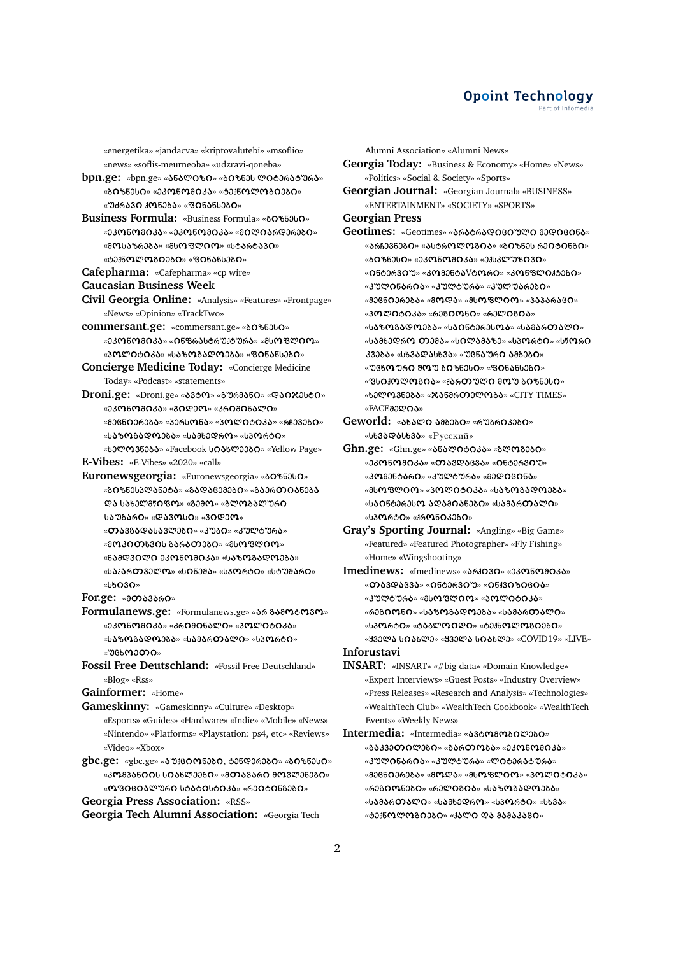«energetika» «jandacva» «kriptovalutebi» «msoflio» «news» «soflis-meurneoba» «udzravi-qoneba»

**bpn.ge:** «bpn.ge» «**ა**ნალიზი» «ბიზნეს ლიტერატურა» «<mark>ᲑᲘ</mark>ᲖᲜᲔᲡ**Ი**» «ᲔᲙ**Ო**ᲜᲝᲛᲘᲙᲐ» «ᲢᲔᲟᲜᲝᲚᲝᲒᲘᲔᲑᲘ»  $\alpha$ უძრავ $\alpha$  კონება»  $\alpha$ ფინანსები»

**Business Formula:** «Business Formula» « » «ᲔᲙᲝᲜᲝᲛᲘᲙᲐ» «ᲔᲙᲝᲜᲝᲛᲘᲙᲐ» «ᲛᲘᲚᲘᲐᲠᲓᲔᲠᲔᲑᲘ» «მოსაზრება» «მსოფლიო» «სტარტაპი» «ᲢᲔᲙᲜᲝᲚᲝᲒᲘᲔᲑᲘ» «ᲤᲘᲜᲐᲜᲡᲔᲑᲘ»

**Cafepharma:** «Cafepharma» «cp wire»

**Caucasian Business Week**

**Civil Georgia Online:** «Analysis» «Features» «Frontpage» «News» «Opinion» «TrackTwo»

**commersant.ge:** «commersant.ge» «δ0%53υΩ» «ᲔᲙᲝᲜᲝᲛᲘᲙᲐ» «ᲘᲜᲤᲠᲐᲡᲢᲠᲣᲙᲢᲣᲠᲐ» «ᲛᲡᲝᲤᲚᲘᲝ» «ᲞᲝᲚᲘᲢᲘᲙᲐ» «ᲡᲐᲖᲝᲒᲐᲓᲝᲔᲑᲐ» «ᲤᲘᲜᲐᲜᲡᲔᲑᲘ»

**Concierge Medicine Today:** «Concierge Medicine Today» «Podcast» «statements»

 $Droni.$ ge: «Droni.ge» «ავტო» «გურმანი» «დაიჯესტი» «ᲔᲙᲝᲜᲝᲛᲘᲙᲐ» «ᲕᲘᲓᲔᲝ» «ᲙᲠᲘᲛᲘᲜᲐᲚᲘ» «ᲛᲔᲪᲜΩᲔᲠᲔᲑᲐ» «ᲞᲔᲠᲡᲝᲜᲐ» «ᲞᲝᲚᲘᲢᲘᲙᲐ» «ᲠᲩᲔᲕᲔᲑᲘ» «საზოგადოეგა» «სამხედრო» «სპორტი» «ხელოვნება» «Facebook სიახლეები» «Yellow Page»

**E-Vibes:** «E-Vibes» «2020» «call»

**Euronewsgeorgia:** «Euronewsgeorgia» « » «ᲑᲘᲖᲜᲔᲡᲞᲚᲐᲜᲔᲢᲐ» «ᲒᲐᲓᲐᲪᲔᲛᲔᲑᲘ» «ᲒᲐᲔᲠᲗᲘᲐᲜᲔᲑᲐ ᲓᲐ ᲡᲐᲮᲔᲚᲛᲬᲘᲤᲝ» «ᲒᲔᲛᲝ» «ᲒᲚᲝᲑᲐᲚᲣᲠᲘ საუგარი» «დავოსი» «ვიდეო»

«თავგადასავლეგი» «კუგი» «კულტურა»

«ᲛᲝᲙᲘᲗᲮᲕᲘᲡ ᲑᲐᲠᲐᲗᲔᲑᲘ» «ᲛᲡᲝᲤᲚᲘᲝ»

«ᲜᲐᲛᲓᲕᲘᲚᲘ ᲔᲙᲝᲜᲝᲛᲘᲙᲐ» «ᲡᲐᲖᲝᲒᲐᲓᲝᲔᲑᲐ» «ს**ა**ქართველო» «სინემა» «სპორტი» «სტუმარი» «სხΩ3Ω»

**For.ge: «მთავარი»** 

**Formulanews.ge:** «Formulanews.ge» «არ გამოტოვო» «ᲔᲙᲝᲜᲝᲛᲘᲙᲐ» «ᲙᲠᲘᲛᲘᲜᲐᲚᲘ» «ᲞᲝᲚᲘᲢᲘᲙᲐ» «სპზოგადოეგა» «სამართალი» «სპორტი» «უცხოეთი»

**Fossil Free Deutschland:** «Fossil Free Deutschland» «Blog» «Rss»

**Gainformer:** «Home»

**Gameskinny:** «Gameskinny» «Culture» «Desktop» «Esports» «Guides» «Hardware» «Indie» «Mobile» «News» «Nintendo» «Platforms» «Playstation: ps4, etc» «Reviews» «Video» «Xbox»

gbc.ge: «gbc.ge» «  $\delta$  38005380, 035036380 » «  $\delta$  0  $\delta$  5300 » «ᲙᲝᲛᲞᲐᲜᲘᲘᲡ ᲡᲘᲐᲮᲚᲔᲔᲑᲘ» «ᲛᲗᲐᲕᲐᲠᲘ ᲛᲝᲕᲚᲔᲜᲔᲑᲘ» «ᲝᲤᲘᲪᲘᲐᲚᲣᲠᲘ ᲡᲢᲐᲢᲘᲡᲢᲘᲙᲐ» «ᲠᲔᲘᲢᲘᲜᲒᲔᲑᲘ» **Georgia Press Association:** «RSS»

**Georgia Tech Alumni Association:** «Georgia Tech

Alumni Association» «Alumni News»

**Georgia Today:** «Business & Economy» «Home» «News» «Politics» «Social & Society» «Sports»

**Georgian Journal:** «Georgian Journal» «BUSINESS» «ENTERTAINMENT» «SOCIETY» «SPORTS»

**Georgian Press**

Geotimes: «Geotimes» «**ა**რატრადიციული გედიცინა»  $\sim$ ᲐᲠᲩᲔᲕᲜᲔᲑᲘ» «ᲐᲡᲢᲠᲝᲚᲝᲒᲘᲐ» «ᲑᲘᲖᲜᲔᲡ ᲠᲔᲘᲢᲘᲜᲒᲘ»  $\alpha$ 80% $\alpha$ 30% $\alpha$  $\alpha$ 30% $\alpha$ 803 $\alpha$ 803 $\alpha$ 80% $\alpha$ 80% «0ნტერვიუ» «კომენტა<code>Vom</code>რი» «კონფლიქტეგი» «კულინარია» «კულტურა» «კულუარები» «ᲛᲔᲪᲜᲘᲔᲠᲔᲑᲐ» «ᲛᲝᲓᲐ» «ᲛᲡᲝᲤᲚᲘᲝ» «ᲞᲐᲞᲐᲠᲐᲪᲘ» «პოლიტიკა» «რეგიონი» «რელიგია» «საზოგადოეგა» «საინტერესოა» «სამართალი» «ს**ა**მხედრ**ო თ**ემ**ა**» «სილამაზე» «სპორტი» «სწორი კვება» «სხვადასხვა» «უცნაური ამბები»  $\sim$ ᲣᲪᲮᲝᲣᲠᲘ ᲨᲝᲣ ᲑᲘᲖᲜᲔᲡᲘ» «ᲤᲘᲜᲐᲜᲡᲔᲑᲘ» «ᲤᲡᲘᲙᲝᲚᲝᲒᲘᲐ» «ᲙᲐᲠᲗᲣᲚᲘ ᲨᲝᲣ ᲑᲘᲖᲜᲔᲡᲘ» «ხელოვნეგა» «ჯანმრთელოგა» «CITY TIMES» «FACE80QOS»

Geworld: «ახალი ამბები» «რუბრიკები» «სხ3ადასხ3ა» «Русский»

**Ghn.ge:** «Ghn.ge» «**ა**ნალიტიკა» «გლოგეგი»  $\alpha$ კკონოგიკა $\alpha$  «თავდაცვა» «ინტერვიუ» «ᲙᲝᲛᲔᲜᲢᲐᲠᲘ» «ᲙᲣᲚᲢᲣᲠᲐ» «ᲛᲔᲓᲘᲪᲘᲜᲐ» «ᲛᲡᲝᲤᲚᲘᲝ» «ᲞᲝᲚᲘᲢᲘᲙᲐ» «ᲡᲐᲖᲝᲒᲐᲓᲝᲔᲑᲐ» «ᲡᲐᲘᲜᲢᲔᲠᲔᲡᲝ ᲐᲓᲐᲛᲘᲐᲜᲔᲑᲘ» «ᲡᲐᲛᲐᲠᲗᲐᲚᲘ» «სპორტი» «ჰრონიკები»

**Gray's Sporting Journal:** «Angling» «Big Game» «Featured» «Featured Photographer» «Fly Fishing» «Home» «Wingshooting»

Imedinews: «Imedinews» «**ა**რქივი» «ეკონომიკა» «თავდაცვა» «ინტერვიუ» «ინქვიზიცია» «კულტურ**ა**» «მს**ო**ფლ**იო» «პოლიტიკა»** «რეგიონი» «საზოგადოეგა» «სამართალი» «სპორტი» «ტაბლოიდი» «ტექნოლოგიეგი» «ᲧᲕᲔᲚᲐ ᲡᲘᲐᲮᲚᲔ» «ᲧᲕᲔᲚᲐ ᲡᲘᲐᲮᲚᲔ» «COVID19» «LIVE»

**Inforustavi**

**INSART:** «INSART» «#big data» «Domain Knowledge» «Expert Interviews» «Guest Posts» «Industry Overview» «Press Releases» «Research and Analysis» «Technologies» «WealthTech Club» «WealthTech Cookbook» «WealthTech Events» «Weekly News»

Intermedia: «Intermedia» «ავტომოაილეაი» «გაკვეთილეგი» «გართოგა» «ეკონომიკა» «კულინარია» «კულტურა» «ლიტერატურა» «მეცნიერება» «მოდა» «მსოფლიო» «კოლიტიკა» «რეგიონეგი» «რელიგია» «საზოგადოეგა» «სამართალი» «სამხედრო» «სპორტი» «სხვა»  $\sim$ ტე $\delta$ ნოლოგიეგი»  $\sim$ ქალი და მამაკაცი»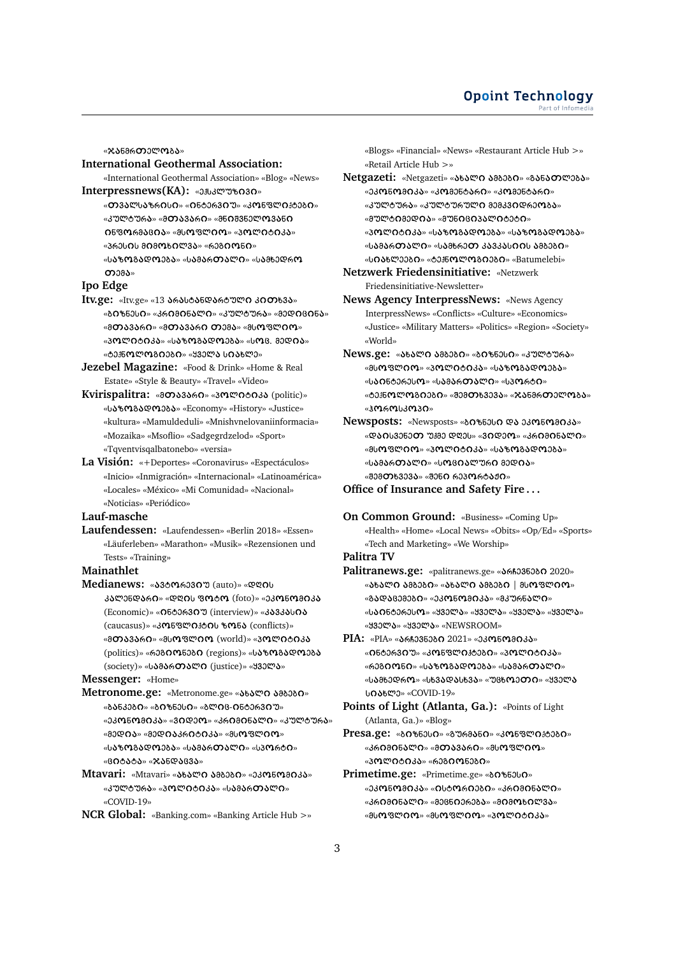«ჯანმრ**თ**ელოგა»

#### **International Geothermal Association:**

- «International Geothermal Association» «Blog» «News» Interpressnews(KA): «ጋ**ქსპ**ლუზივი»
	- «თვალსაზრისი» «ინტერვიუ» «კონფლიქტეგი» «ᲙᲣᲚᲢᲣᲠᲐ» «ᲛᲗᲐᲕᲐᲠᲘ» «ᲛᲜᲘᲨᲕᲜᲔᲚᲝᲕᲐᲜᲘ  $\Omega$ 630699809» «მსოფლიო» «პოლიტიკა» «ᲞᲠᲔᲡ<mark>Ი</mark>Ს Მ<mark>ᲘᲛᲝᲮᲘ</mark>ᲚᲕ**Ა**» «ᲠᲔᲒ**ᲘᲝ**Ნ**Ი»** «სპზოგადოეგა» «სამართალი» «სამხედრო  $O<sub>28</sub>$

#### **Ipo Edge**

- $Itx.$ ge: «Itv.ge» «13 არასტანდარტული კითხვა» «ᲑᲘᲖᲜᲔᲡᲘ» «ᲙᲠᲘᲛᲘᲜᲐᲚᲘ» «ᲙᲣᲚᲢᲣᲠᲐ» «ᲛᲔᲓᲘᲪᲘᲜᲐ» «ᲛᲗᲐᲕᲐᲠᲘ» «ᲛᲗᲐᲕᲐᲠᲘ ᲗᲔᲛᲐ» «ᲛᲡᲝᲤᲚᲘᲝ» «ᲞᲝᲚᲘᲢᲘᲙᲐ» «ᲡᲐᲖᲝᲒᲐᲓᲝᲔᲑᲐ» «ᲡᲝᲪ. ᲛᲔᲓᲘᲐ» «ᲢᲔᲙᲜ**ᲝᲚᲝᲒᲘᲔᲑᲘ» «ᲧᲕᲔᲚᲐ ᲡᲘᲐ**ᲮᲚᲔ»
- **Jezebel Magazine:** «Food & Drink» «Home & Real Estate» «Style & Beauty» «Travel» «Video»
- **Kvirispalitra: «ออวง3ง60» «3ตฺ๛ฺออง (politic)»** « » «Economy» «History» «Justice» «kultura» «Mamuldeduli» «Mnishvnelovaniinformacia» «Mozaika» «Msoflio» «Sadgegrdzelod» «Sport» «Tqventvisqalbatonebo» «versia»
- **La Visión:** «+Deportes» «Coronavirus» «Espectáculos» «Inicio» «Inmigración» «Internacional» «Latinoamérica» «Locales» «México» «Mi Comunidad» «Nacional» «Noticias» «Periódico»

## **Lauf-masche**

**Laufendessen:** «Laufendessen» «Berlin 2018» «Essen» «Läuferleben» «Marathon» «Musik» «Rezensionen und Tests» «Training»

#### **Mainathlet**

 $Medianews: «*33*0063300 (auto)» «$ დღის ᲙᲐᲚᲔᲜᲓᲐᲠᲘ» «ᲓᲦᲘᲡ ᲤᲝᲢᲝ (foto)» «ᲔᲙᲝᲜᲝᲛᲘᲙᲐ (Economic)» «0ნტერ30 (interview)» «პავკას0ა (caucasus)» «კონფლიქტის ზონა (conflicts)» «ᲛᲗᲐᲕᲐᲠᲘ» «ᲛᲡᲝᲤᲚᲘᲝ (world)» «ᲞᲝᲚᲘᲢᲘᲙᲐ (politics)» «რეგიონეგი (regions)» «საზოგადოეგა (society)» «სამართალი (justice)» « ყველა»

**Messenger:** «Home»

**Metronome.ge:** «Metronome.ge» «ახალი ამბები» «ᲑᲐᲜᲙᲔᲑ**Ი**» «ᲑᲘᲖᲜᲔᲡᲘ» «ᲑᲚᲘᲪ-ᲘᲜᲢᲔᲠᲕᲘᲣ» «ᲔᲙᲝᲜᲝᲛᲘᲙᲐ» «ᲕᲘᲓᲔᲝ» «ᲙᲠᲘᲛᲘᲜᲐᲚᲘ» «ᲙᲣᲚᲢᲣᲠᲐ» «ᲛᲔᲓᲘᲐ» «ᲛᲔᲓᲘᲐᲙᲠᲘᲢᲘᲙᲐ» «ᲛᲡᲝᲤᲚᲘᲝ» «სპზოგადოეგა» «სამართალი» «სპორტი» «ᲪᲘᲢᲐᲢᲐ» «ᲯᲐᲜᲓᲐᲪᲕᲐ»  $M$ tavari: «Mtavari» «ახალი ამბები» «ეკონომიკა»

«კულტურა» «პოლიტიკა» «სამართალი» «COVID-19»

**NCR Global:** «Banking.com» «Banking Article Hub >»

«Blogs» «Financial» «News» «Restaurant Article Hub >» «Retail Article Hub >»

- $Netgazeti:$  «Netgazeti» «ახალი ამბები» «მანათლება» «ᲔᲙᲝᲜᲝᲛᲘᲙᲐ» «ᲙᲝᲛᲔᲜᲢᲐᲠᲘ» «ᲙᲝᲛᲔᲜᲢᲐᲠᲘ»  $\ast$ კულტურ**ა** $\ast$   $\ast$ კულტურულ $\alpha$  გეგკვ $\alpha$ დრე $\alpha$ ბა $\ast$ «ᲛᲣᲚᲢᲘᲛᲔᲓᲘᲐ» «ᲛᲣᲜᲘᲪᲘᲞᲐᲚᲘᲢᲔᲢᲘ» «პოლიტიკა» «საზოგადოეგა» «საზოგადოეგა» «ს**ა**მართალი» «სამხრეთ კავკასიის ამბები» «სიახლეეგი» «ტექნოლოგიეგი» «Batumelebi»
- **Netzwerk Friedensinitiative:** «Netzwerk Friedensinitiative-Newsletter»

**News Agency InterpressNews:** «News Agency InterpressNews» «Conflicts» «Culture» «Economics» «Justice» «Military Matters» «Politics» «Region» «Society» «World»

- $\overline{\text{News.get:}}$  «ახალი ამბები» «ბიზნესი» «კულტურა» «ᲛᲡᲝᲤᲚᲘᲝ» «ᲞᲝᲚᲘᲢᲘᲙᲐ» «ᲡᲐᲖᲝᲒᲐᲓᲝᲔᲑᲐ» «ს<mark>აი</mark>ნტერეს**ო**» «ს**ა**მ<mark>ართალი</mark>» «სპორტი» «ტექნ**ოლოგიეგი» «შემთხვევა» «ჯანმრთელოგა»** «ჰოროსპოპი»
- **Newsposts:** «Newsposts» «ბიზნესი და ეკონომიკა» «ᲓᲐᲘᲡᲕᲔᲜᲔᲗ ᲣᲧᲛᲔ ᲓᲦᲔᲡ» «ᲕᲘᲓᲔᲝ» «ᲙᲠᲘᲛᲘᲜᲐᲚᲘ» «მსოფლიო» «პოლიტიკა» «საზოგადოეგა» «ს**ა**მარ**თალი**» «სოციალური მედია» « 3080063035» « 3060 რეპორტაჟი»

#### **Office of Insurance and Safety Fire . . .**

**On Common Ground:** «Business» «Coming Up» «Health» «Home» «Local News» «Obits» «Op/Ed» «Sports» «Tech and Marketing» «We Worship»

**Palitra TV**

- Palitranews.ge: «palitranews.ge» «*S6603600 2020»*  $\ast$ ᲐᲮᲐᲚᲘ ᲐᲛᲑᲔᲑᲘ»  $\ast$ ᲐᲮᲐᲚᲘ ᲐᲛᲑᲔᲑᲘ | ᲛᲡᲝᲤᲚᲘᲝ» «ᲒᲐᲓᲐᲪᲔᲛᲔᲑ<mark>Ი</mark>» «ᲔᲙ**Ო**ᲜᲝᲛᲘᲙᲐ» «ᲛᲙᲣᲠᲜᲐᲚᲘ» «ს**ᲐᲘ**ᲜᲢᲔᲠᲔᲡ**Ო**» «ᲧᲕᲔᲚᲐ» «ᲧᲕᲔᲚᲐ» «ᲧᲕᲔᲚᲐ» «ᲧᲕᲔᲚᲐ» « » « » «NEWSROOM»
- PIA: «PIA» « 66603606 0 2021 » «0306030 » «0500630Უ» «ᲙᲝᲜᲤᲚᲘᲙᲢᲔᲑᲘ» «ᲞᲝᲚᲘᲢᲘᲙᲐ» «რეგიონი» «საზოგადოეგა» «სამართალი» «ს**Ა**ᲛᲮᲔᲓᲠ**Ო**» «ᲡᲮᲕ**Ა**ᲓᲐᲡᲮᲕᲐ» «ᲣᲪᲮ**Ო**ᲔᲗᲘ» «ᲧᲕᲔᲚᲐ » «COVID-19»
- **Points of Light (Atlanta, Ga.):** «Points of Light (Atlanta, Ga.)» «Blog»
- Presa.ge: «ბიზნესი» «გურმანი» «კონფლიქტეგი» «ᲙᲠᲘᲛᲘᲜᲐᲚᲘ» «ᲛᲗᲐᲕᲐᲠᲘ» «ᲛᲡᲝᲤᲚᲘᲝ» «ᲞᲝᲚᲘᲢᲘᲙᲐ» «ᲠᲔᲒᲘᲝᲜᲔᲑᲘ»
- **Primetime.ge:** «Primetime.ge» «δ0%53b0» «ᲔᲙᲝᲜᲝᲛᲘᲙᲐ» «ᲘᲡᲢᲝᲠᲘᲔᲑᲘ» «ᲙᲠᲘᲛᲘᲜᲐᲚᲘ» «ᲙᲠᲘᲛᲘᲜᲐᲚᲘ» «ᲛᲔᲪᲜᲘᲔᲠᲔᲑᲐ» «ᲛᲘᲛᲝᲮᲘᲚᲕᲐ» «ᲛᲡᲝᲤᲚᲘᲝ» «ᲛᲡᲝᲤᲚᲘᲝ» «ᲞᲝᲚᲘᲢᲘᲙᲐ»